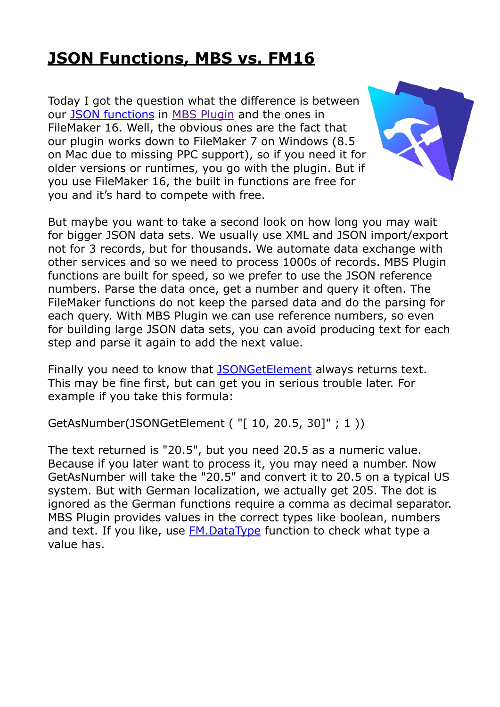## **[JSON Functions, MBS vs. FM16](https://www.mbsplugins.de/archive/2017-05-23/JSON_Functions_MBS_vs_FM16)**

Today I got the question what the difference is between our [JSON functions](http://www.mbsplugins.eu/component_JSON.shtml) in [MBS Plugin](http://www.monkeybreadsoftware.de/filemaker/) and the ones in FileMaker 16. Well, the obvious ones are the fact that our plugin works down to FileMaker 7 on Windows (8.5 on Mac due to missing PPC support), so if you need it for older versions or runtimes, you go with the plugin. But if you use FileMaker 16, the built in functions are free for you and it's hard to compete with free.



But maybe you want to take a second look on how long you may wait for bigger JSON data sets. We usually use XML and JSON import/export not for 3 records, but for thousands. We automate data exchange with other services and so we need to process 1000s of records. MBS Plugin functions are built for speed, so we prefer to use the JSON reference numbers. Parse the data once, get a number and query it often. The FileMaker functions do not keep the parsed data and do the parsing for each query. With MBS Plugin we can use reference numbers, so even for building large JSON data sets, you can avoid producing text for each step and parse it again to add the next value.

Finally you need to know that [JSONGetElement](https://fmhelp.filemaker.com/help/16/fmp/en/#page/FMP_Help%2Fjsongetelement.html%23) always returns text. This may be fine first, but can get you in serious trouble later. For example if you take this formula:

GetAsNumber(JSONGetElement ( "[ 10, 20.5, 30]" ; 1 ))

The text returned is "20.5", but you need 20.5 as a numeric value. Because if you later want to process it, you may need a number. Now GetAsNumber will take the "20.5" and convert it to 20.5 on a typical US system. But with German localization, we actually get 205. The dot is ignored as the German functions require a comma as decimal separator. MBS Plugin provides values in the correct types like boolean, numbers and text. If you like, use **FM.DataType** function to check what type a value has.